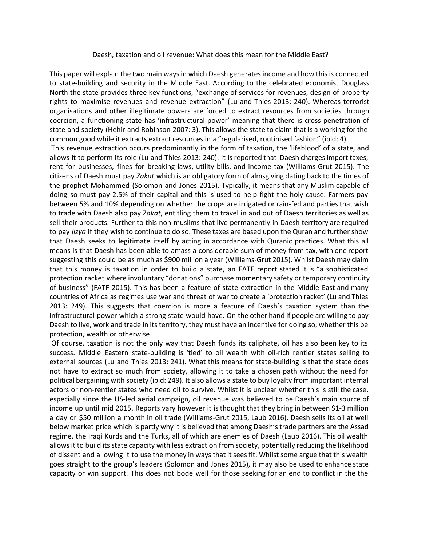## Daesh, taxation and oil revenue: What does this mean for the Middle East?

This paper will explain the two main ways in which Daesh generates income and how this is connected to state-building and security in the Middle East. According to the celebrated economist Douglass North the state provides three key functions, "exchange of services for revenues, design of property rights to maximise revenues and revenue extraction" (Lu and Thies 2013: 240). Whereas terrorist organisations and other illegitimate powers are forced to extract resources from societies through coercion, a functioning state has 'infrastructural power' meaning that there is cross-penetration of state and society (Hehir and Robinson 2007: 3). This allows the state to claim that is a working for the common good while it extracts extract resources in a "regularised, routinised fashion" (ibid: 4).

This revenue extraction occurs predominantly in the form of taxation, the 'lifeblood' of a state, and allows it to perform its role (Lu and Thies 2013: 240). It is reported that Daesh charges import taxes, rent for businesses, fines for breaking laws, utility bills, and income tax (Williams-Grut 2015). The citizens of Daesh must pay *Zakat* which is an obligatory form of almsgiving dating back to the times of the prophet Mohammed (Solomon and Jones 2015). Typically, it means that any Muslim capable of doing so must pay 2.5% of their capital and this is used to help fight the holy cause. Farmers pay between 5% and 10% depending on whether the crops are irrigated or rain-fed and parties that wish to trade with Daesh also pay Z*akat*, entitling them to travel in and out of Daesh territories as well as sell their products. Further to this non-muslims that live permanently in Daesh territory are required to pay *jizya* if they wish to continue to do so. These taxes are based upon the Quran and further show that Daesh seeks to legitimate itself by acting in accordance with Quranic practices. What this all means is that Daesh has been able to amass a considerable sum of money from tax, with one report suggesting this could be as much as \$900 million a year (Williams-Grut 2015). Whilst Daesh may claim that this money is taxation in order to build a state, an FATF report stated it is "a sophisticated protection racket where involuntary "donations" purchase momentary safety or temporary continuity of business" (FATF 2015). This has been a feature of state extraction in the Middle East and many countries of Africa as regimes use war and threat of war to create a 'protection racket' (Lu and Thies 2013: 249). This suggests that coercion is more a feature of Daesh's taxation system than the infrastructural power which a strong state would have. On the other hand if people are willing to pay Daesh to live, work and trade in its territory, they must have an incentive for doing so, whether this be protection, wealth or otherwise.

Of course, taxation is not the only way that Daesh funds its caliphate, oil has also been key to its success. Middle Eastern state-building is 'tied' to oil wealth with oil-rich rentier states selling to external sources (Lu and Thies 2013: 241). What this means for state-building is that the state does not have to extract so much from society, allowing it to take a chosen path without the need for political bargaining with society (ibid: 249). It also allows a state to buy loyalty from important internal actors or non-rentier states who need oil to survive. Whilst it is unclear whether this is still the case, especially since the US-led aerial campaign, oil revenue was believed to be Daesh's main source of income up until mid 2015. Reports vary however it is thought that they bring in between \$1-3 million a day or \$50 million a month in oil trade (Williams-Grut 2015, Laub 2016). Daesh sells its oil at well below market price which is partly why it is believed that among Daesh's trade partners are the Assad regime, the Iraqi Kurds and the Turks, all of which are enemies of Daesh (Laub 2016). This oil wealth allows it to build its state capacity with less extraction from society, potentially reducing the likelihood of dissent and allowing it to use the money in ways that it sees fit. Whilst some argue that this wealth goes straight to the group's leaders (Solomon and Jones 2015), it may also be used to enhance state capacity or win support. This does not bode well for those seeking for an end to conflict in the the